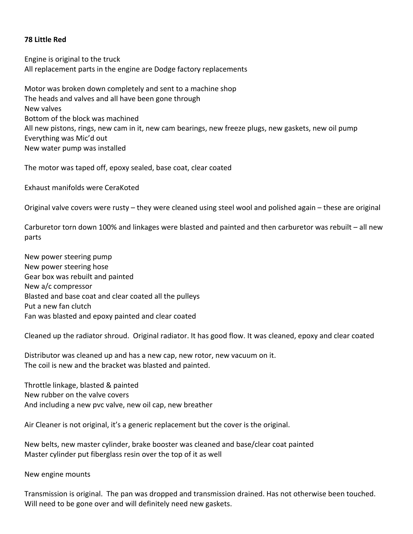## **78 Little Red**

Engine is original to the truck All replacement parts in the engine are Dodge factory replacements

Motor was broken down completely and sent to a machine shop The heads and valves and all have been gone through New valves Bottom of the block was machined All new pistons, rings, new cam in it, new cam bearings, new freeze plugs, new gaskets, new oil pump Everything was Mic'd out New water pump was installed

The motor was taped off, epoxy sealed, base coat, clear coated

Exhaust manifolds were CeraKoted

Original valve covers were rusty – they were cleaned using steel wool and polished again – these are original

Carburetor torn down 100% and linkages were blasted and painted and then carburetor was rebuilt – all new parts

New power steering pump New power steering hose Gear box was rebuilt and painted New a/c compressor Blasted and base coat and clear coated all the pulleys Put a new fan clutch Fan was blasted and epoxy painted and clear coated

Cleaned up the radiator shroud. Original radiator. It has good flow. It was cleaned, epoxy and clear coated

Distributor was cleaned up and has a new cap, new rotor, new vacuum on it. The coil is new and the bracket was blasted and painted.

Throttle linkage, blasted & painted New rubber on the valve covers And including a new pvc valve, new oil cap, new breather

Air Cleaner is not original, it's a generic replacement but the cover is the original.

New belts, new master cylinder, brake booster was cleaned and base/clear coat painted Master cylinder put fiberglass resin over the top of it as well

New engine mounts

Transmission is original. The pan was dropped and transmission drained. Has not otherwise been touched. Will need to be gone over and will definitely need new gaskets.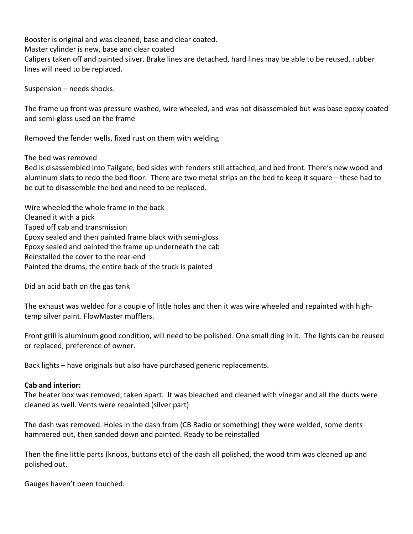Booster is original and was cleaned, base and clear coated. Master cylinder is new, base and clear coated Calipers taken off and painted silver. Brake lines are detached, hard lines may be able to be reused, rubber lines will need to be replaced.

Suspension – needs shocks.

The frame up front was pressure washed, wire wheeled, and was not disassembled but was base epoxy coated and semi-gloss used on the frame

Removed the fender wells, fixed rust on them with welding

The bed was removed

Bed is disassembled into Tailgate, bed sides with fenders still attached, and bed front. There's new wood and aluminum slats to redo the bed floor. There are two metal strips on the bed to keep it square – these had to be cut to disassemble the bed and need to be replaced.

Wire wheeled the whole frame in the back Cleaned it with a pick Taped off cab and transmission Epoxy sealed and then painted frame black with semi-gloss Epoxy sealed and painted the frame up underneath the cab Reinstalled the cover to the rear-end Painted the drums, the entire back of the truck is painted

Did an acid bath on the gas tank

The exhaust was welded for a couple of little holes and then it was wire wheeled and repainted with hightemp silver paint. FlowMaster mufflers.

Front grill is aluminum good condition, will need to be polished. One small ding in it. The lights can be reused or replaced, preference of owner.

Back lights – have originals but also have purchased generic replacements.

## **Cab and interior:**

The heater box was removed, taken apart. It was bleached and cleaned with vinegar and all the ducts were cleaned as well. Vents were repainted (silver part)

The dash was removed. Holes in the dash from (CB Radio or something) they were welded, some dents hammered out, then sanded down and painted. Ready to be reinstalled

Then the fine little parts (knobs, buttons etc) of the dash all polished, the wood trim was cleaned up and polished out.

Gauges haven't been touched.